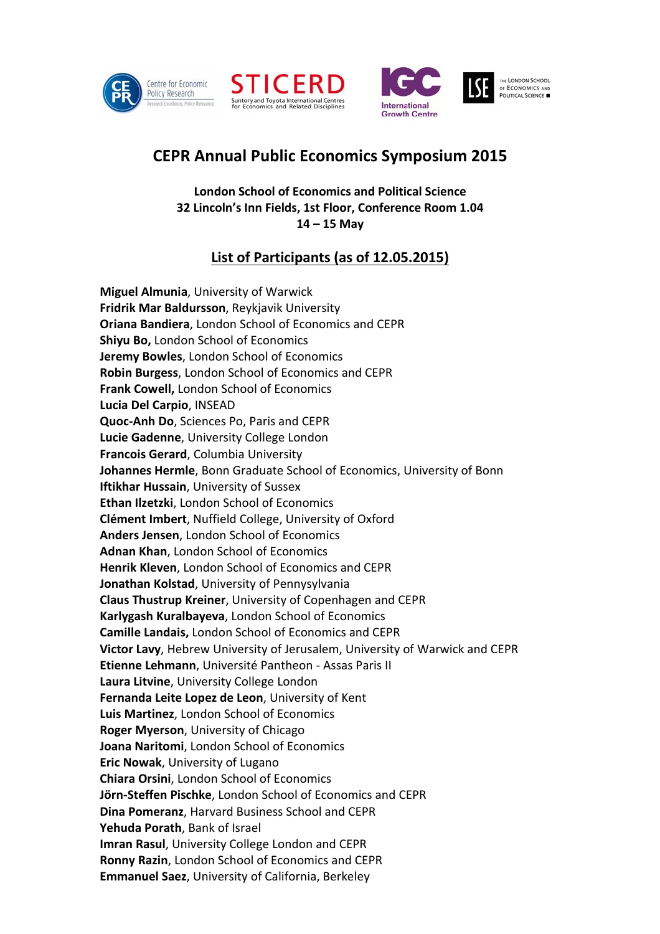





## **CEPR Annual Public Economics Symposium 2015**

**London School of Economics and Political Science 32 Lincoln's Inn Fields, 1st Floor, Conference Room 1.04 14 – 15 May** 

## **List of Participants (as of 12.05.2015)**

**Miguel Almunia**, University of Warwick **Fridrik Mar Baldursson**, Reykjavik University **Oriana Bandiera**, London School of Economics and CEPR **Shiyu Bo,** London School of Economics **Jeremy Bowles**, London School of Economics **Robin Burgess**, London School of Economics and CEPR **Frank Cowell,** London School of Economics **Lucia Del Carpio**, INSEAD **Quoc-Anh Do**, Sciences Po, Paris and CEPR **Lucie Gadenne**, University College London **Francois Gerard**, Columbia University **Johannes Hermle**, Bonn Graduate School of Economics, University of Bonn **Iftikhar Hussain**, University of Sussex **Ethan Ilzetzki**, London School of Economics **Clément Imbert**, Nuffield College, University of Oxford **Anders Jensen**, London School of Economics **Adnan Khan**, London School of Economics **Henrik Kleven**, London School of Economics and CEPR **Jonathan Kolstad**, University of Pennysylvania **Claus Thustrup Kreiner**, University of Copenhagen and CEPR **Karlygash Kuralbayeva**, London School of Economics **Camille Landais,** London School of Economics and CEPR **Victor Lavy**, Hebrew University of Jerusalem, University of Warwick and CEPR **Etienne Lehmann**, Université Pantheon - Assas Paris II **Laura Litvine**, University College London **Fernanda Leite Lopez de Leon**, University of Kent **Luis Martinez**, London School of Economics **Roger Myerson**, University of Chicago **Joana Naritomi**, London School of Economics **Eric Nowak**, University of Lugano **Chiara Orsini**, London School of Economics **Jörn-Steffen Pischke**, London School of Economics and CEPR **Dina Pomeranz**, Harvard Business School and CEPR **Yehuda Porath**, Bank of Israel **Imran Rasul**, University College London and CEPR **Ronny Razin**, London School of Economics and CEPR **Emmanuel Saez**, University of California, Berkeley